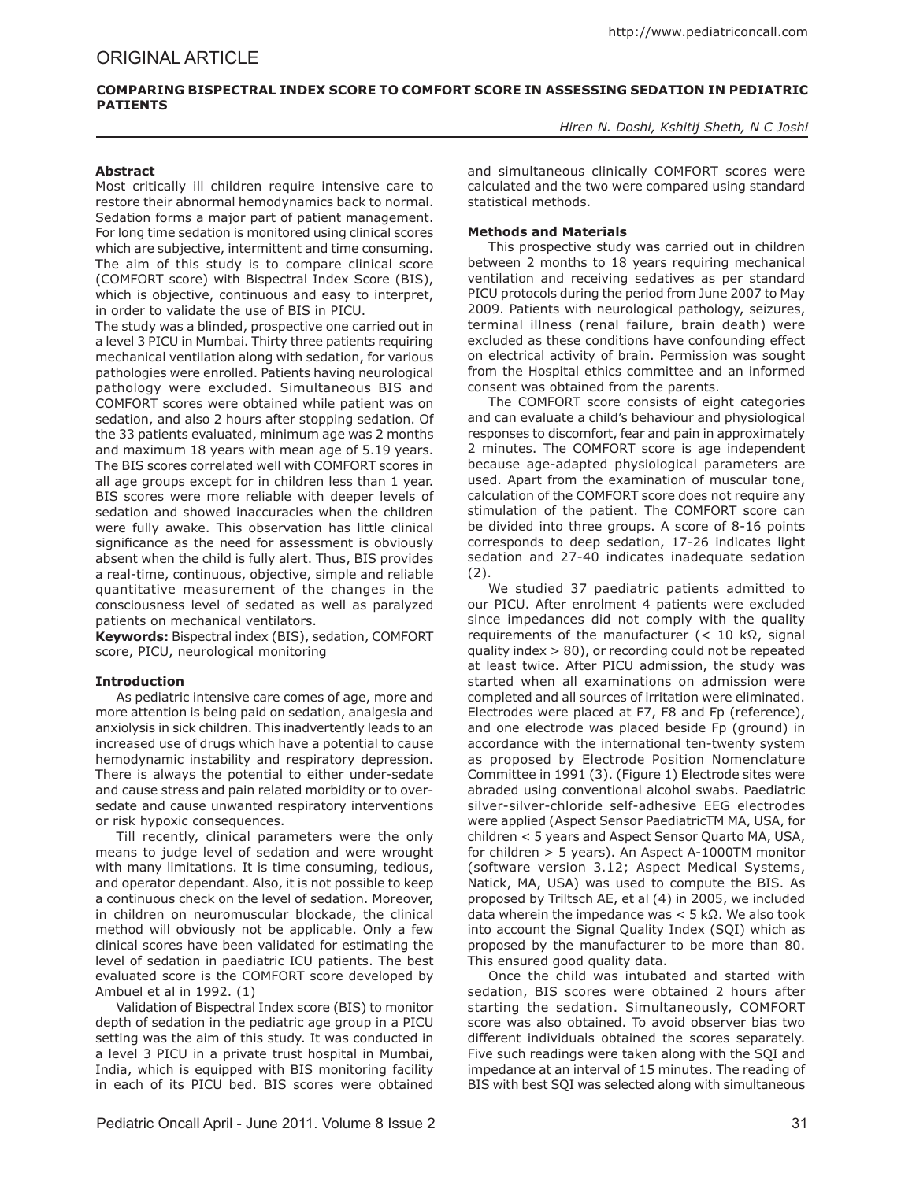# **COMPARING BISPECTRAL INDEX SCORE TO COMFORT SCORE IN ASSESSING SEDATION IN PEDIATRIC PATIENTS**

*Hiren N. Doshi, Kshitij Sheth, N C Joshi* 

## **Abstract**

Most critically ill children require intensive care to restore their abnormal hemodynamics back to normal. Sedation forms a major part of patient management. For long time sedation is monitored using clinical scores which are subjective, intermittent and time consuming. The aim of this study is to compare clinical score (COMFORT score) with Bispectral Index Score (BIS), which is objective, continuous and easy to interpret, in order to validate the use of BIS in PICU.

The study was a blinded, prospective one carried out in a level 3 PICU in Mumbai. Thirty three patients requiring mechanical ventilation along with sedation, for various pathologies were enrolled. Patients having neurological pathology were excluded. Simultaneous BIS and COMFORT scores were obtained while patient was on sedation, and also 2 hours after stopping sedation. Of the 33 patients evaluated, minimum age was 2 months and maximum 18 years with mean age of 5.19 years. The BIS scores correlated well with COMFORT scores in all age groups except for in children less than 1 year. BIS scores were more reliable with deeper levels of sedation and showed inaccuracies when the children were fully awake. This observation has little clinical significance as the need for assessment is obviously absent when the child is fully alert. Thus, BIS provides a real-time, continuous, objective, simple and reliable quantitative measurement of the changes in the consciousness level of sedated as well as paralyzed patients on mechanical ventilators.

**Keywords:** Bispectral index (BIS), sedation, COMFORT score, PICU, neurological monitoring

# **Introduction**

As pediatric intensive care comes of age, more and more attention is being paid on sedation, analgesia and anxiolysis in sick children. This inadvertently leads to an increased use of drugs which have a potential to cause hemodynamic instability and respiratory depression. There is always the potential to either under-sedate and cause stress and pain related morbidity or to oversedate and cause unwanted respiratory interventions or risk hypoxic consequences.

Till recently, clinical parameters were the only means to judge level of sedation and were wrought with many limitations. It is time consuming, tedious, and operator dependant. Also, it is not possible to keep a continuous check on the level of sedation. Moreover, in children on neuromuscular blockade, the clinical method will obviously not be applicable. Only a few clinical scores have been validated for estimating the level of sedation in paediatric ICU patients. The best evaluated score is the COMFORT score developed by Ambuel et al in 1992. (1)

Validation of Bispectral Index score (BIS) to monitor depth of sedation in the pediatric age group in a PICU setting was the aim of this study. It was conducted in a level 3 PICU in a private trust hospital in Mumbai, India, which is equipped with BIS monitoring facility in each of its PICU bed. BIS scores were obtained and simultaneous clinically COMFORT scores were calculated and the two were compared using standard statistical methods.

# **Methods and Materials**

This prospective study was carried out in children between 2 months to 18 years requiring mechanical ventilation and receiving sedatives as per standard PICU protocols during the period from June 2007 to May 2009. Patients with neurological pathology, seizures, terminal illness (renal failure, brain death) were excluded as these conditions have confounding effect on electrical activity of brain. Permission was sought from the Hospital ethics committee and an informed consent was obtained from the parents.

The COMFORT score consists of eight categories and can evaluate a child's behaviour and physiological responses to discomfort, fear and pain in approximately 2 minutes. The COMFORT score is age independent because age-adapted physiological parameters are used. Apart from the examination of muscular tone, calculation of the COMFORT score does not require any stimulation of the patient. The COMFORT score can be divided into three groups. A score of 8-16 points corresponds to deep sedation, 17-26 indicates light sedation and 27-40 indicates inadequate sedation (2).

We studied 37 paediatric patients admitted to our PICU. After enrolment 4 patients were excluded since impedances did not comply with the quality requirements of the manufacturer (< 10 kΩ, signal quality index > 80), or recording could not be repeated at least twice. After PICU admission, the study was started when all examinations on admission were completed and all sources of irritation were eliminated. Electrodes were placed at F7, F8 and Fp (reference), and one electrode was placed beside Fp (ground) in accordance with the international ten-twenty system as proposed by Electrode Position Nomenclature Committee in 1991 (3). (Figure 1) Electrode sites were abraded using conventional alcohol swabs. Paediatric silver-silver-chloride self-adhesive EEG electrodes were applied (Aspect Sensor PaediatricTM MA, USA, for children < 5 years and Aspect Sensor Quarto MA, USA, for children > 5 years). An Aspect A-1000TM monitor (software version 3.12; Aspect Medical Systems, Natick, MA, USA) was used to compute the BIS. As proposed by Triltsch AE, et al (4) in 2005, we included data wherein the impedance was < 5 kΩ. We also took into account the Signal Quality Index (SQI) which as proposed by the manufacturer to be more than 80. This ensured good quality data.

Once the child was intubated and started with sedation, BIS scores were obtained 2 hours after starting the sedation. Simultaneously, COMFORT score was also obtained. To avoid observer bias two different individuals obtained the scores separately. Five such readings were taken along with the SQI and impedance at an interval of 15 minutes. The reading of BIS with best SQI was selected along with simultaneous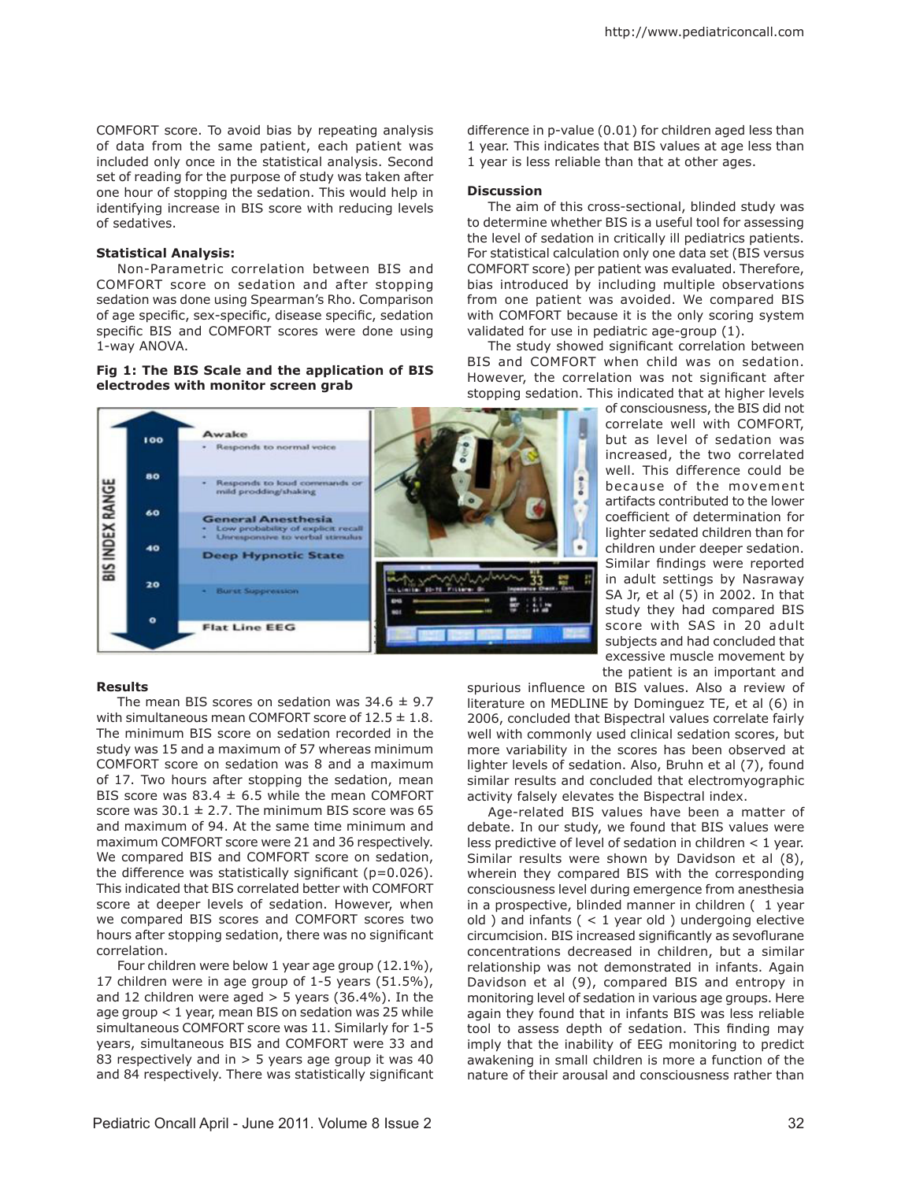COMFORT score. To avoid bias by repeating analysis of data from the same patient, each patient was included only once in the statistical analysis. Second set of reading for the purpose of study was taken after one hour of stopping the sedation. This would help in identifying increase in BIS score with reducing levels of sedatives.

#### **Statistical Analysis:**

Non-Parametric correlation between BIS and COMFORT score on sedation and after stopping sedation was done using Spearman's Rho. Comparison of age specific, sex-specific, disease specific, sedation specific BIS and COMFORT scores were done using 1-way ANOVA.

### **Fig 1: The BIS Scale and the application of BIS electrodes with monitor screen grab**



### **Results**

The mean BIS scores on sedation was  $34.6 \pm 9.7$ with simultaneous mean COMFORT score of  $12.5 \pm 1.8$ . The minimum BIS score on sedation recorded in the study was 15 and a maximum of 57 whereas minimum COMFORT score on sedation was 8 and a maximum of 17. Two hours after stopping the sedation, mean BIS score was 83.4  $\pm$  6.5 while the mean COMFORT score was  $30.1 \pm 2.7$ . The minimum BIS score was 65 and maximum of 94. At the same time minimum and maximum COMFORT score were 21 and 36 respectively. We compared BIS and COMFORT score on sedation, the difference was statistically significant  $(p=0.026)$ . This indicated that BIS correlated better with COMFORT score at deeper levels of sedation. However, when we compared BIS scores and COMFORT scores two hours after stopping sedation, there was no significant correlation.

Four children were below 1 year age group (12.1%), 17 children were in age group of 1-5 years (51.5%), and 12 children were aged  $> 5$  years (36.4%). In the age group < 1 year, mean BIS on sedation was 25 while simultaneous COMFORT score was 11. Similarly for 1-5 years, simultaneous BIS and COMFORT were 33 and 83 respectively and in  $> 5$  years age group it was 40 and 84 respectively. There was statistically significant

difference in p-value (0.01) for children aged less than 1 year. This indicates that BIS values at age less than 1 year is less reliable than that at other ages.

#### **Discussion**

The aim of this cross-sectional, blinded study was to determine whether BIS is a useful tool for assessing the level of sedation in critically ill pediatrics patients. For statistical calculation only one data set (BIS versus COMFORT score) per patient was evaluated. Therefore, bias introduced by including multiple observations from one patient was avoided. We compared BIS with COMFORT because it is the only scoring system validated for use in pediatric age-group (1).

The study showed significant correlation between BIS and COMFORT when child was on sedation. However, the correlation was not significant after stopping sedation. This indicated that at higher levels

of consciousness, the BIS did not correlate well with COMFORT, but as level of sedation was increased, the two correlated well. This difference could be because of the movement artifacts contributed to the lower coefficient of determination for lighter sedated children than for children under deeper sedation. Similar findings were reported in adult settings by Nasraway SA Jr, et al (5) in 2002. In that study they had compared BIS score with SAS in 20 adult subjects and had concluded that excessive muscle movement by the patient is an important and

spurious influence on BIS values. Also a review of literature on MEDLINE by Dominguez TE, et al (6) in 2006, concluded that Bispectral values correlate fairly well with commonly used clinical sedation scores, but more variability in the scores has been observed at lighter levels of sedation. Also, Bruhn et al (7), found similar results and concluded that electromyographic activity falsely elevates the Bispectral index.

Age-related BIS values have been a matter of debate. In our study, we found that BIS values were less predictive of level of sedation in children < 1 year. Similar results were shown by Davidson et al (8), wherein they compared BIS with the corresponding consciousness level during emergence from anesthesia in a prospective, blinded manner in children ( 1 year old ) and infants  $($  < 1 year old ) undergoing elective circumcision. BIS increased significantly as sevoflurane concentrations decreased in children, but a similar relationship was not demonstrated in infants. Again Davidson et al (9), compared BIS and entropy in monitoring level of sedation in various age groups. Here again they found that in infants BIS was less reliable tool to assess depth of sedation. This finding may imply that the inability of EEG monitoring to predict awakening in small children is more a function of the nature of their arousal and consciousness rather than